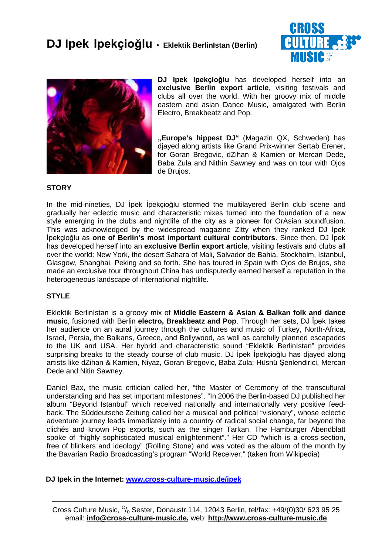



**DJ Ipek** Ipekçioğlu has developed herself into an **exclusive Berlin export article**, visiting festivals and clubs all over the world. With her groovy mix of middle eastern and asian Dance Music, amalgated with Berlin Electro, Breakbeatz and Pop.

**"Europe's hippest DJ"** (Magazin QX, Schweden) has djayed along artists like Grand Prix-winner Sertab Erener, for Goran Bregovic, dZihan & Kamien or Mercan Dede, Baba Zula and Nithin Sawney and was on tour with Ojos de Brujos.

## **STORY**

In the mid-nineties, DJ Ipek Ipekcioğlu stormed the multilayered Berlin club scene and gradually her eclectic music and characteristic mixes turned into the foundation of a new style emerging in the clubs and nightlife of the city as a pioneer for OrAsian soundfusion. This was acknowledged by the widespread magazine Zitty when they ranked DJ lpek **İpekçioğlu as one of Berlin's most important cultural contributors**. Since then, DJ İpek has developed herself into an **exclusive Berlin export article**, visiting festivals and clubs all over the world: New York, the desert Sahara of Mali, Salvador de Bahia, Stockholm, Istanbul, Glasgow, Shanghai, Peking and so forth. She has toured in Spain with Ojos de Brujos, she made an exclusive tour throughout China has undisputedly earned herself a reputation in the heterogeneous landscape of international nightlife.

## **STYLE**

Eklektik BerlinIstan is a groovy mix of **Middle Eastern & Asian & Balkan folk and dance music**, fusioned with Berlin **electro, Breakbeatz and Pop**. Through her sets, DJ lpek takes her audience on an aural journey through the cultures and music of Turkey, North-Africa, Israel, Persia, the Balkans, Greece, and Bollywood, as well as carefully planned escapades to the UK and USA. Her hybrid and characteristic sound "Eklektik BerlinIstan" provides surprising breaks to the steady course of club music. DJ lpek lpekcioğlu has diayed along artists like dZihan & Kamien, Niyaz, Goran Bregovic, Baba Zula; Hüsnü Şenlendirici, Mercan Dede and Nitin Sawney.

Daniel Bax, the music critician called her, "the Master of Ceremony of the transcultural understanding and has set important milestones". "In 2006 the Berlin-based DJ published her album "Beyond Istanbul" which received nationally and internationally very positive feedback. The Süddeutsche Zeitung called her a musical and political "visionary", whose eclectic adventure journey leads immediately into a country of radical social change, far beyond the clichés and known Pop exports, such as the singer Tarkan. The Hamburger Abendblatt spoke of "highly sophisticated musical enlightenment"." Her CD "which is a cross-section, free of blinkers and ideology" (Rolling Stone) and was voted as the album of the month by the Bavarian Radio Broadcasting's program "World Receiver." (taken from Wikipedia)

## **DJ Ipek in the Internet: www.cross-culture-music.de/ipek**

Cross Culture Music,  $C/0$  Sester, Donaustr.114, 12043 Berlin, tel/fax: +49/(0)30/ 623 95 25 email: **info@cross-culture-music.de,** web: **http://www.cross-culture-music.de**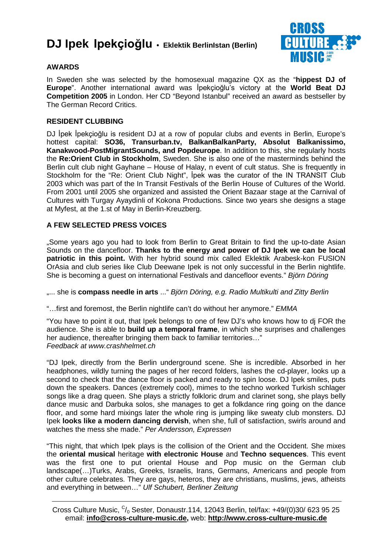

## **AWARDS**

In Sweden she was selected by the homosexual magazine QX as the "**hippest DJ of Europe**". Another international award was *lpekçioğlu's victory at the World Beat DJ* **Competition 2005** in London. Her CD "Beyond Istanbul" received an award as bestseller by The German Record Critics.

## **RESIDENT CLUBBING**

DJ İpek İpekçioğlu is resident DJ at a row of popular clubs and events in Berlin, Europe's hottest capital: **SO36, Transurban.tv, BalkanBalkanParty, Absolut Balkanissimo, Kanakwood-PostMigrantSounds, and Popdeurope**. In addition to this, she regularly hosts the **Re:Orient Club in Stockholm**, Sweden. She is also one of the masterminds behind the Berlin cult club night Gayhane – House of Halay, n event of cult status. She is frequently in Stockholm for the "Re: Orient Club Night", lpek was the curator of the IN TRANSIT Club 2003 which was part of the In Transit Festivals of the Berlin House of Cultures of the World. From 2001 until 2005 she organized and assisted the Orient Bazaar stage at the Carnival of Cultures with Turgay Ayaydinli of Kokona Productions. Since two years she designs a stage at Myfest, at the 1.st of May in Berlin-Kreuzberg.

## **A FEW SELECTED PRESS VOICES**

"Some years ago you had to look from Berlin to Great Britain to find the up-to-date Asian Sounds on the dancefloor. **Thanks to the energy and power of DJ Ipek we can be local patriotic in this point.** With her hybrid sound mix called Eklektik Arabesk-kon FUSION OrAsia and club series like Club Deewane Ipek is not only successful in the Berlin nightlife. She is becoming a quest on international Festivals and dancefloor events." Björn Döring

..... she is **compass needle in arts** ..." Björn Döring, e.g. Radio Multikulti and Zitty Berlin

"...first and foremost, the Berlin nightlife can't do without her anymore." EMMA

"You have to point it out, that Ipek belongs to one of few DJ's who knows how to dj FOR the audience. She is able to **build up a temporal frame**, in which she surprises and challenges her audience, thereafter bringing them back to familiar territories…" Feedback at www.crashhelmet.ch

"DJ Ipek, directly from the Berlin underground scene. She is incredible. Absorbed in her headphones, wildly turning the pages of her record folders, lashes the cd-player, looks up a second to check that the dance floor is packed and ready to spin loose. DJ Ipek smiles, puts down the speakers. Dances (extremely cool), mimes to the techno worked Turkish schlager songs like a drag queen. She plays a strictly folkloric drum and clarinet song, she plays belly dance music and Darbuka solos, she manages to get a folkdance ring going on the dance floor, and some hard mixings later the whole ring is jumping like sweaty club monsters. DJ Ipek **looks like a modern dancing dervish**, when she, full of satisfaction, swirls around and watches the mess she made." Per Andersson, Expressen

"This night, that which Ipek plays is the collision of the Orient and the Occident. She mixes the **oriental musical** heritage **with electronic House** and **Techno sequences**. This event was the first one to put oriental House and Pop music on the German club landscape(…)Turks, Arabs, Greeks, Israelis, Irans, Germans, Americans and people from other culture celebrates. They are gays, heteros, they are christians, muslims, jews, atheists and everything in between…" Ulf Schubert, Berliner Zeitung

Cross Culture Music,  $C/0$  Sester, Donaustr.114, 12043 Berlin, tel/fax: +49/(0)30/ 623 95 25 email: **info@cross-culture-music.de,** web: **http://www.cross-culture-music.de**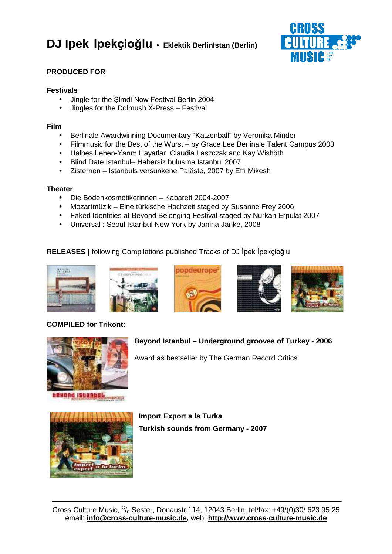

## **PRODUCED FOR**

## **Festivals**

- Jingle for the Şimdi Now Festival Berlin 2004
- Jingles for the Dolmush X-Press Festival

## **Film**

- Berlinale Awardwinning Documentary "Katzenball" by Veronika Minder
- Filmmusic for the Best of the Wurst by Grace Lee Berlinale Talent Campus 2003
- Halbes Leben-Yarım Hayatlar Claudia Laszczak and Kay Wishöth
- Blind Date Istanbul– Habersiz bulusma Istanbul 2007
- Zisternen Istanbuls versunkene Paläste, 2007 by Effi Mikesh

## **Theater**

- Die Bodenkosmetikerinnen Kabarett 2004-2007
- Mozartmüzik Eine türkische Hochzeit staged by Susanne Frey 2006
- Faked Identities at Beyond Belonging Festival staged by Nurkan Erpulat 2007
- Universal : Seoul Istanbul New York by Janina Janke, 2008

## RELEASES | following Compilations published Tracks of DJ İpek İpekçioğlu









**Beyond Istanbul – Underground grooves of Turkey - 2006**

Award as bestseller by The German Record Critics



## **COMPILED for Trikont:**



esand iscanbul.

**Import Export a la Turka Turkish sounds from Germany - 2007**